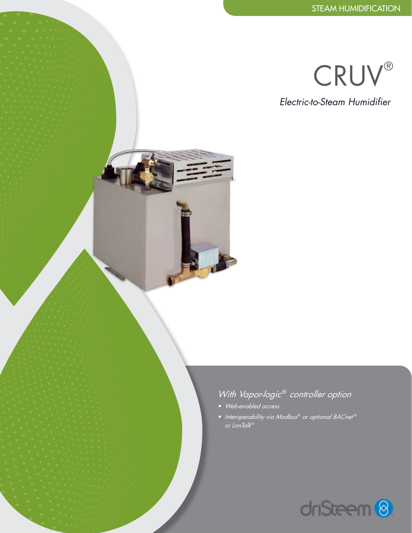# *Electric-to-Steam Humidifier* **CRUV®**

### *With Vapor-logic*® *controller option*

- *• Web-enabled access*
- *Interoperability via Modbus*® *or optional BACnet*  ® *or LonTalk*®

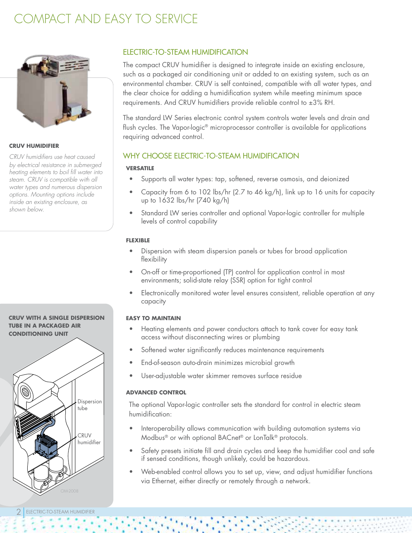## COMPACT AND FASY TO SERVICE



#### **CRUV HUMIDIFIER**

*CRUV humidifiers use heat caused by electrical resistance in submerged heating elements to boil fill water into steam. CRUV is compatible with all water types and numerous dispersion options. Mounting options include inside an existing enclosure, as shown below.*

**CRUV WITH A SINGLE DISPERSION TUBE IN A PACKAGED AIR CONDITIONING UNIT**



#### ELECTRIC-TO-STEAM HUMIDIFICATION

The compact CRUV humidifier is designed to integrate inside an existing enclosure, such as a packaged air conditioning unit or added to an existing system, such as an environmental chamber. CRUV is self contained, compatible with all water types, and the clear choice for adding a humidification system while meeting minimum space requirements. And CRUV humidifiers provide reliable control to ±3% RH.

The standard LW Series electronic control system controls water levels and drain and flush cycles. The Vapor-logic® microprocessor controller is available for applications requiring advanced control.

#### WHY CHOOSE ELECTRIC-TO-STEAM HUMIDIFICATION

#### **VERSATILE**

- Supports all water types: tap, softened, reverse osmosis, and deionized
- Capacity from 6 to 102 lbs/hr (2.7 to 46 kg/h), link up to 16 units for capacity up to 1632 lbs/hr (740 kg/h)
- Standard LW series controller and optional Vapor-logic controller for multiple levels of control capability

#### **FLEXIBLE**

- Dispersion with steam dispersion panels or tubes for broad application flexibility
- On-off or time-proportioned (TP) control for application control in most environments; solid-state relay (SSR) option for tight control
- Electronically monitored water level ensures consistent, reliable operation at any capacity

#### **EASY TO MAINTAIN**

- Heating elements and power conductors attach to tank cover for easy tank access without disconnecting wires or plumbing
- Softened water significantly reduces maintenance requirements
- End-of-season auto-drain minimizes microbial growth
- User-adjustable water skimmer removes surface residue

#### **ADVANCED CONTROL**

The optional Vapor-logic controller sets the standard for control in electric steam humidification:

- Interoperability allows communication with building automation systems via Modbus® or with optional BACnet® or LonTalk® protocols.
- Safety presets initiate fill and drain cycles and keep the humidifier cool and safe if sensed conditions, though unlikely, could be hazardous.
- Web-enabled control allows you to set up, view, and adjust humidifier functions via Ethernet, either directly or remotely through a network.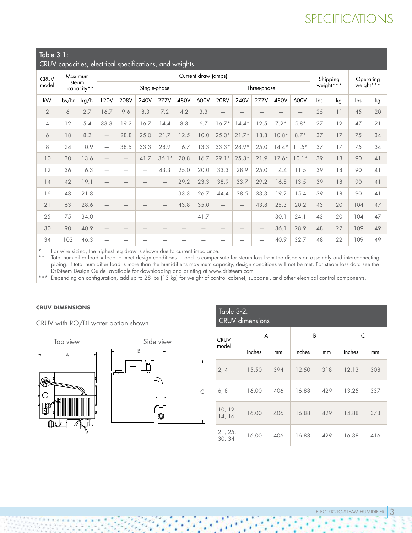## SPECIFICATIONS

#### Table 3-1:

 $CRUV$  capacities, electrical specifications, and we

| $\sim$ . capacinos, cicemical specifications, and weights |                                |      |                                 |                          |                                 |                                 |                                 |                                 |                                 |                                 |                                 |                          |                 |           |    |     |    |
|-----------------------------------------------------------|--------------------------------|------|---------------------------------|--------------------------|---------------------------------|---------------------------------|---------------------------------|---------------------------------|---------------------------------|---------------------------------|---------------------------------|--------------------------|-----------------|-----------|----|-----|----|
| <b>CRUV</b><br>model                                      | Maximum<br>steam<br>capacity** |      | Current draw (amps)             |                          |                                 |                                 |                                 |                                 |                                 |                                 |                                 | Shipping                 |                 | Operating |    |     |    |
|                                                           |                                |      | Single-phase                    |                          |                                 |                                 |                                 | Three-phase                     |                                 |                                 |                                 | weight***                |                 | weight*** |    |     |    |
| kW                                                        | $\frac{1}{s}$                  | kg/h | <b>120V</b>                     | 208V                     | 240V                            | 277V                            | 480V                            | 600V                            | 208V                            | <b>240V</b>                     | 277V                            | 480V                     | 600V            | lbs       | kg | lbs | kg |
| $\overline{2}$                                            | 6                              | 2.7  | 16.7                            | 9.6                      | 8.3                             | 7.2                             | 4.2                             | 3.3                             | $\qquad \qquad -$               | $\hspace{0.1mm}-\hspace{0.1mm}$ | $\qquad \qquad -$               | $\overline{\phantom{0}}$ | $\qquad \qquad$ | 25        | 11 | 45  | 20 |
| 4                                                         | 12                             | 5.4  | 33.3                            | 19.2                     | 16.7                            | 14.4                            | 8.3                             | 6.7                             | $16.7*$                         | $14.4*$                         | 12.5                            | $7.2*$                   | $5.8*$          | 27        | 12 | 47  | 21 |
| 6                                                         | 18                             | 8.2  | $\overline{\phantom{0}}$        | 28.8                     | 25.0                            | 21.7                            | 12.5                            | 10.0                            | $25.0*$                         | $21.7*$                         | 18.8                            | $10.8*$                  | $8.7*$          | 37        | 17 | 75  | 34 |
| 8                                                         | 24                             | 10.9 | $\overline{\phantom{0}}$        | 38.5                     | 33.3                            | 28.9                            | 16.7                            | 13.3                            | $33.3*$                         | 28.9*                           | 25.0                            | $14.4*$                  | $11.5*$         | 37        | 17 | 75  | 34 |
| 10                                                        | 30                             | 13.6 | $\hspace{0.1mm}-\hspace{0.1mm}$ | $\overline{\phantom{m}}$ | 41.7                            | $36.1*$                         | 20.8                            | 16.7                            | $29.1*$                         | $25.3*$                         | 21.9                            | $12.6*$                  | $10.1*$         | 39        | 18 | 90  | 41 |
| 12                                                        | 36                             | 16.3 | $\overline{\phantom{0}}$        | -                        | $\overline{\phantom{0}}$        | 43.3                            | 25.0                            | 20.0                            | 33.3                            | 28.9                            | 25.0                            | 14.4                     | 11.5            | 39        | 18 | 90  | 41 |
| 14                                                        | 42                             | 19.1 | $\hspace{0.1mm}-\hspace{0.1mm}$ | $\overline{\phantom{0}}$ | $\qquad \qquad$                 | $\hspace{0.1mm}-\hspace{0.1mm}$ | 29.2                            | 23.3                            | 38.9                            | 33.7                            | 29.2                            | 16.8                     | 13.5            | 39        | 18 | 90  | 41 |
| 16                                                        | 48                             | 21.8 |                                 | -                        | $\overline{\phantom{0}}$        | $\qquad \qquad$                 | 33.3                            | 26.7                            | 44.4                            | 38.5                            | 33.3                            | 19.2                     | 15.4            | 39        | 18 | 90  | 41 |
| 21                                                        | 63                             | 28.6 | $\qquad \qquad -$               | —                        | $\hspace{0.1mm}-\hspace{0.1mm}$ |                                 | 43.8                            | 35.0                            | $\qquad \qquad -$               | $\hspace{0.1mm}-\hspace{0.1mm}$ | 43.8                            | 25.3                     | 20.2            | 43        | 20 | 104 | 47 |
| 25                                                        | 75                             | 34.0 |                                 |                          | -                               | -                               | $\overline{\phantom{0}}$        | 41.7                            | $\overline{\phantom{0}}$        |                                 | $\qquad \qquad$                 | 30.1                     | 24.1            | 43        | 20 | 104 | 47 |
| 30                                                        | 90                             | 40.9 | $\hspace{0.1mm}-\hspace{0.1mm}$ |                          | $\hspace{0.1mm}-\hspace{0.1mm}$ | $\hspace{0.1mm}-\hspace{0.1mm}$ | $\hspace{0.1mm}-\hspace{0.1mm}$ | $\hspace{0.1mm}-\hspace{0.1mm}$ | $\hspace{0.1mm}-\hspace{0.1mm}$ | $\hspace{0.1mm}-\hspace{0.1mm}$ | $\hspace{0.1mm}-\hspace{0.1mm}$ | 36.1                     | 28.9            | 48        | 22 | 109 | 49 |
| 34                                                        | 102                            | 46.3 |                                 |                          |                                 |                                 |                                 |                                 |                                 |                                 | $\overline{\phantom{0}}$        | 40.9                     | 32.7            | 48        | 22 | 109 | 49 |

\* For wire sizing, the highest leg draw is shown due to current imbalance.

Total humidifier load = load to meet design conditions + load to compensate for steam loss from the dispersion assembly and interconnecting piping. If total humidifier load is more than the humidifier's maximum capacity, design conditions will not be met. For steam loss data see the DriSteem Design Guide available for downloading and printing at www.dristeem.com

\*\*\* Depending on configuration, add up to 28 lbs (13 kg) for weight of control cabinet, subpanel, and other electrical control components.

#### **CRUV DIMENSIONS**

CRUV with RO/DI water option shown





| Table 3-2:<br><b>CRUV</b> dimensions |        |     |        |     |        |     |  |  |  |  |  |
|--------------------------------------|--------|-----|--------|-----|--------|-----|--|--|--|--|--|
| <b>CRUV</b>                          | A      |     |        | B   | C      |     |  |  |  |  |  |
| model                                | inches | mm  | inches | mm  | inches | mm  |  |  |  |  |  |
| 2, 4                                 | 15.50  | 394 | 12.50  | 318 | 12.13  | 308 |  |  |  |  |  |
| 6, 8                                 | 16.00  | 406 | 16.88  | 429 | 13.25  | 337 |  |  |  |  |  |
| 10, 12,<br>14, 16                    | 16.00  | 406 | 16.88  | 429 | 14.88  | 378 |  |  |  |  |  |
| 21, 25,<br>30, 34                    | 16.00  | 406 | 16.88  | 429 | 16.38  | 416 |  |  |  |  |  |